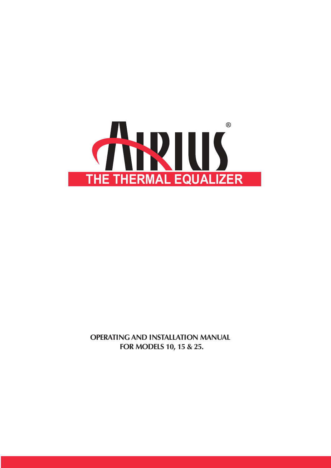

**OPERATING AND INSTALLATION MANUAL FOR MODELS 10, 15 & 25.**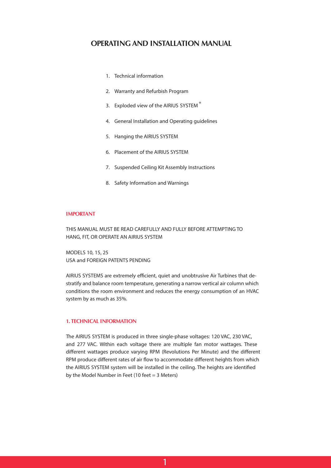# **OPERATING AND INSTALLATION MANUAL**

- 1. Technical information
- 2. Warranty and Refurbish Program
- 3. Exploded view of the AIRIUS SYSTEM ®
- 4. General Installation and Operating guidelines
- 5. Hanging the AIRIUS SYSTEM
- 6. Placement of the AIRIUS SYSTEM
- 7. Suspended Ceiling Kit Assembly Instructions
- 8. Safety Information and Warnings

#### **IMPORTANT**

THIS MANUAL MUST BE READ CAREFULLY AND FULLY BEFORE ATTEMPTING TO HANG, FIT, OR OPERATE AN AIRIUS SYSTEM

MODELS 10, 15, 25 USA and FOREIGN PATENTS PENDING

AIRIUS SYSTEMS are extremely efficient, quiet and unobtrusive Air Turbines that destratify and balance room temperature, generating a narrow vertical air column which conditions the room environment and reduces the energy consumption of an HVAC system by as much as 35%.

## **1. TECHNICAL INFORMATION**

The AIRIUS SYSTEM is produced in three single-phase voltages: 120 VAC, 230 VAC, and 277 VAC. Within each voltage there are multiple fan motor wattages. These different wattages produce varying RPM (Revolutions Per Minute) and the different RPM produce different rates of air flow to accommodate different heights from which the AIRIUS SYSTEM system will be installed in the ceiling. The heights are identified by the Model Number in Feet (10 feet = 3 Meters)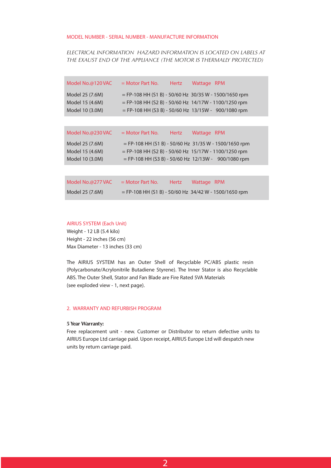#### MODEL NUMBER - SERIAL NUMBER - MANUFACTURE INFORMATION

*ELECTRICAL INFORMATION HAZARD INFORMATION IS LOCATED ON LABELS AT THE EXAUST END OF THE APPLIANCE (THE MOTOR IS THERMALLY PROTECTED)*

| Model No.@120 VAC                                     | $=$ Motor Part No.                                                                                                                                                         | <b>Hertz</b> | Wattage | <b>RPM</b> |
|-------------------------------------------------------|----------------------------------------------------------------------------------------------------------------------------------------------------------------------------|--------------|---------|------------|
| Model 25 (7.6M)<br>Model 15 (4.6M)<br>Model 10 (3.0M) | $=$ FP-108 HH (S1 B) - 50/60 Hz 30/35 W - 1500/1650 rpm<br>$=$ FP-108 HH (S2 B) - 50/60 Hz 14/17W - 1100/1250 rpm<br>$=$ FP-108 HH (S3 B) - 50/60 Hz 13/15W - 900/1080 rpm |              |         |            |
|                                                       |                                                                                                                                                                            |              |         |            |
| Model No.@230 VAC                                     | $=$ Motor Part No.                                                                                                                                                         | <b>Hertz</b> | Wattage | <b>RPM</b> |
| Model 25 (7.6M)<br>Model 15 (4.6M)<br>Model 10 (3.0M) | $=$ FP-108 HH (S1 B) - 50/60 Hz 31/35 W - 1500/1650 rpm<br>$=$ FP-108 HH (S2 B) - 50/60 Hz 15/17W - 1100/1250 rpm<br>$=$ FP-108 HH (S3 B) - 50/60 Hz 12/13W - 900/1080 rpm |              |         |            |
|                                                       |                                                                                                                                                                            |              |         |            |
| Model No.@277 VAC                                     | $=$ Motor Part No.                                                                                                                                                         | <b>Hertz</b> | Wattage | <b>RPM</b> |

Model 25 (7.6M) = FP-108 HH (S1 B) - 50/60 Hz 34/42 W - 1500/1650 rpm

## AIRIUS SYSTEM (Each Unit)

Weight - 12 LB (5.4 kilo) Height - 22 inches (56 cm) Max Diameter - 13 inches (33 cm)

The AIRIUS SYSTEM has an Outer Shell of Recyclable PC/ABS plastic resin (Polycarbonate/Acrylonitrile Butadiene Styrene). The Inner Stator is also Recyclable ABS. The Outer Shell, Stator and Fan Blade are Fire Rated 5VA Materials (see exploded view - 1, next page).

## 2. WARRANTY AND REFURBISH PROGRAM

## **5 Year Warranty:**

Free replacement unit - new. Customer or Distributor to return defective units to AIRIUS Europe Ltd carriage paid. Upon receipt, AIRIUS Europe Ltd will despatch new units by return carriage paid.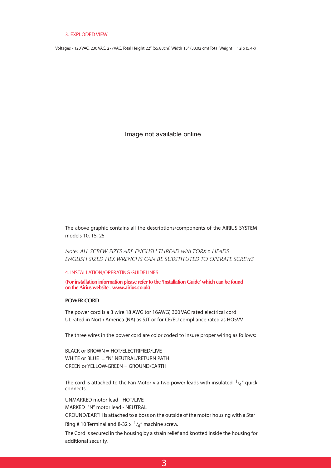#### 3. EXPLODED VIEW

Voltages - 120 VAC, 230 VAC, 277VAC. Total Height 22" (55.88cm) Width 13" (33.02 cm) Total Weight = 12lb (5.4k)

Image not available online.

The above graphic contains all the descriptions/components of the AIRIUS SYSTEM models 10, 15, 25

*Note: ALL SCREW SIZES ARE ENGLISH THREAD with TORX ¤ HEADS ENGLISH SIZED HEX WRENCHS CAN BE SUBSTITUTED TO OPERATE SCREWS*

4. INSTALLATION/OPERATING GUIDELINES

**(For installation information please refer to the 'Installation Guide' which can be found on the Airius website - www.airius.co.uk)**

### **POWER CORD**

The power cord is a 3 wire 18 AWG (or 16AWG) 300 VAC rated electrical cord UL rated in North America (NA) as SJT or for CE/EU compliance rated as HO5VV

The three wires in the power cord are color coded to insure proper wiring as follows:

BLACK or BROWN = HOT/ELECTRIFIED/LIVE WHITE or BLUE = "N" NEUTRAL/RETURN PATH GREEN or YELLOW-GREEN = GROUND/EARTH

The cord is attached to the Fan Motor via two power leads with insulated  $\frac{1}{4}$  quick connects.

UNMARKED motor lead - HOT/LIVE MARKED "N" motor lead - NEUTRAL

GROUND/EARTH is attached to a boss on the outside of the motor housing with a Star Ring # 10 Terminal and 8-32  $\times$   $1/4$ <sup>"</sup> machine screw.

The Cord is secured in the housing by a strain relief and knotted inside the housing for additional security.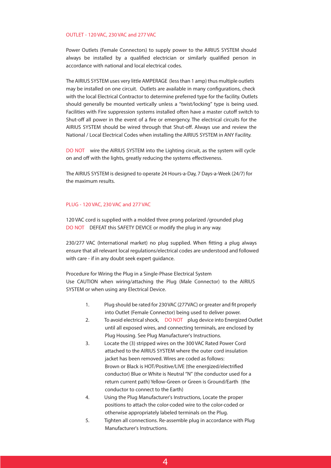## OUTLET - 120 VAC, 230 VAC and 277 VAC

Power Outlets (Female Connectors) to supply power to the AIRIUS SYSTEM should always be installed by a qualified electrician or similarly qualified person in accordance with national and local electrical codes.

The AIRIUS SYSTEM uses very little AMPERAGE (less than 1 amp) thus multiple outlets may be installed on one circuit. Outlets are available in many configurations, check with the local Electrical Contractor to determine preferred type for the facility. Outlets should generally be mounted vertically unless a "twist/locking" type is being used. Facilities with Fire suppression systems installed often have a master cutoff switch to Shut-off all power in the event of a fire or emergency. The electrical circuits for the AIRIUS SYSTEM should be wired through that Shut-off. Always use and review the National / Local Electrical Codes when installing the AIRIUS SYSTEM in ANY Facility.

DO NOT wire the AIRIUS SYSTEM into the Lighting circuit, as the system will cycle on and off with the lights, greatly reducing the systems effectiveness.

The AIRIUS SYSTEM is designed to operate 24 Hours-a-Day, 7 Days-a-Week (24/7) for the maximum results.

## PLUG - 120 VAC, 230 VAC and 277 VAC

120 VAC cord is supplied with a molded three prong polarized /grounded plug DO NOT DEFEAT this SAFETY DEVICE or modify the plug in any way.

230/277 VAC (International market) no plug supplied. When fitting a plug always ensure that all relevant local regulations/electrical codes are understood and followed with care - if in any doubt seek expert guidance.

Procedure for Wiring the Plug in a Single-Phase Electrical System Use CAUTION when wiring/attaching the Plug (Male Connector) to the AIRIUS SYSTEM or when using any Electrical Device.

- 1. Plug should be rated for 230 VAC (277VAC) or greater and fit properly into Outlet (Female Connector) being used to deliver power.
- 2. To avoid electrical shock, DO NOT plug device into Energized Outlet until all exposed wires, and connecting terminals, are enclosed by Plug Housing. See Plug Manufacturer's Instructions.
- 3. Locate the (3) stripped wires on the 300 VAC Rated Power Cord attached to the AIRIUS SYSTEM where the outer cord insulation jacket has been removed. Wires are coded as follows: Brown or Black is HOT/Positive/LIVE (the energized/electrified conductor) Blue or White is Neutral "N" (the conductor used for a return current path) Yellow-Green or Green is Ground/Earth (the conductor to connect to the Earth)
- 4. Using the Plug Manufacturer's Instructions, Locate the proper positions to attach the color-coded wire to the color-coded or otherwise appropriately labeled terminals on the Plug.
- 5. Tighten all connections. Re-assemble plug in accordance with Plug Manufacturer's Instructions.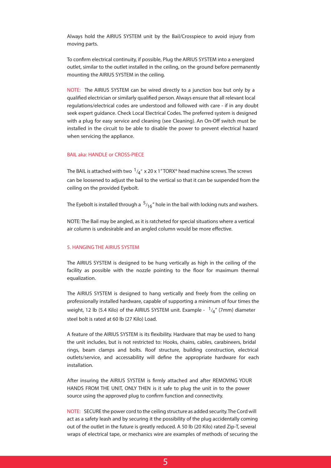Always hold the AIRIUS SYSTEM unit by the Bail/Crosspiece to avoid injury from moving parts.

To confirm electrical continuity, if possible, Plug the AIRIUS SYSTEM into a energized outlet, similar to the outlet installed in the ceiling, on the ground before permanently mounting the AIRIUS SYSTEM in the ceiling.

NOTE: The AIRIUS SYSTEM can be wired directly to a junction box but only by a qualified electrician or similarly qualified person. Always ensure that all relevant local regulations/electrical codes are understood and followed with care - if in any doubt seek expert guidance. Check Local Electrical Codes. The preferred system is designed with a plug for easy service and cleaning (see Cleaning). An On-Off switch must be installed in the circuit to be able to disable the power to prevent electrical hazard when servicing the appliance.

## BAIL aka: HANDLE or CROSS-PIECE

The BAIL is attached with two  $\frac{1}{4}$ " x 20 x 1"TORX® head machine screws. The screws can be loosened to adjust the bail to the vertical so that it can be suspended from the ceiling on the provided Eyebolt.

The Eyebolt is installed through a  $\frac{5}{16}$ " hole in the bail with locking nuts and washers.

NOTE: The Bail may be angled, as it is ratcheted for special situations where a vertical air column is undesirable and an angled column would be more effective.

#### 5. HANGING THE AIRIUS SYSTEM

The AIRIUS SYSTEM is designed to be hung vertically as high in the ceiling of the facility as possible with the nozzle pointing to the floor for maximum thermal equalization.

The AIRIUS SYSTEM is designed to hang vertically and freely from the ceiling on professionally installed hardware, capable of supporting a minimum of four times the weight, 12 lb (5.4 Kilo) of the AIRIUS SYSTEM unit. Example -  $\frac{1}{4}$ " (7mm) diameter steel bolt is rated at 60 lb (27 Kilo) Load.

A feature of the AIRIUS SYSTEM is its flexibility. Hardware that may be used to hang the unit includes, but is not restricted to: Hooks, chains, cables, carabineers, bridal rings, beam clamps and bolts. Roof structure, building construction, electrical outlets/service, and accessability will define the appropriate hardware for each installation.

After insuring the AIRIUS SYSTEM is firmly attached and after REMOVING YOUR HANDS FROM THE UNIT, ONLY THEN is it safe to plug the unit in to the power source using the approved plug to confirm function and connectivity.

NOTE: SECURE the power cord to the ceiling structure as added security. The Cord will act as a safety leash and by securing it the possibility of the plug accidentally coming out of the outlet in the future is greatly reduced. A 50 lb (20 Kilo) rated Zip-T, several wraps of electrical tape, or mechanics wire are examples of methods of securing the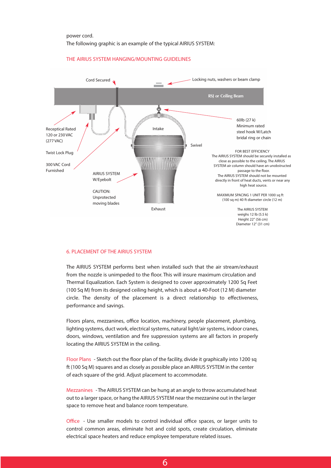## power cord. The following graphic is an example of the typical AIRIUS SYSTEM:

#### Locking nuts, washers or beam clamp Cord Secured **RSJ or Ceiling Beam** I 60lb (27 k) Minimum rated Receptical Rated Intake steel hook W/Latch 120 or 230 VAC bridal ring or chain (277 VAC) Swivel FOR BEST EFFICIENCY Twist Lock Plug The AIRIUS SYSTEM should be securely installed as **SAMPLE FRAM** close as possible to the ceiling. The AIRIUS 300 VAC Cord SYSTEM air column should have an unobstructed Furnished passage to the floor. AIRIUS SYSTEM The AIRIUS SYSTEM should not be mounted W/Eyebolt directly in front of heat ducts, vents or near any high heat source. CAUTION: MAXIMUM SPACING 1 UNIT PER 1000 sq ft Unprotected (100 sq m) 40 ft diameter circle (12 m) moving blades Exhaust The AIRIUS SYSTEM weighs 12 lb (5.5 k) Height 22" (56 cm) Diameter 12" (31 cm)

### THE AIRIUS SYSTEM HANGING/MOUNTING GUIDELINES

#### 6. PLACEMENT OF THE AIRIUS SYSTEM

The AIRIUS SYSTEM performs best when installed such that the air stream/exhaust from the nozzle is unimpeded to the floor. This will insure maximum circulation and Thermal Equalization. Each System is designed to cover approximately 1200 Sq Feet (100 Sq M) from its designed ceiling height, which is about a 40-Foot (12 M) diameter circle. The density of the placement is a direct relationship to effectiveness, performance and savings.

Floors plans, mezzanines, office location, machinery, people placement, plumbing, lighting systems, duct work, electrical systems, natural light/air systems, indoor cranes, doors, windows, ventilation and fire suppression systems are all factors in properly locating the AIRIUS SYSTEM in the ceiling.

Floor Plans - Sketch out the floor plan of the facility, divide it graphically into 1200 sq ft (100 Sq M) squares and as closely as possible place an AIRIUS SYSTEM in the center of each square of the grid. Adjust placement to accommodate.

Mezzanines - The AIRIUS SYSTEM can be hung at an angle to throw accumulated heat out to a larger space, or hang the AIRIUS SYSTEM near the mezzanine out in the larger space to remove heat and balance room temperature.

Office - Use smaller models to control individual office spaces, or larger units to control common areas, eliminate hot and cold spots, create circulation, eliminate electrical space heaters and reduce employee temperature related issues.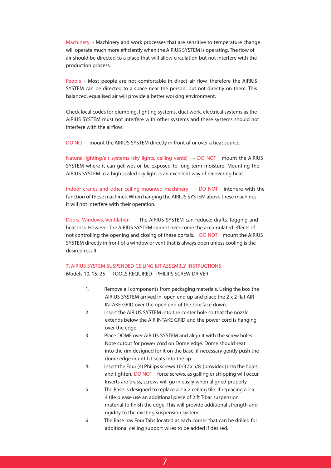Machinery - Machinery and work processes that are sensitive to temperature change will operate much more efficiently when the AIRIUS SYSTEM is operating. The flow of air should be directed to a place that will allow circulation but not interfere with the production process.

People - Most people are not comfortable in direct air flow, therefore the AIRIUS SYSTEM can be directed to a space near the person, but not directly on them. This balanced, equalised air will provide a better working environment.

Check local codes for plumbing, lighting systems, duct work, electrical systems as the AIRIUS SYSTEM must not interfere with other systems and these systems should not interfere with the airflow.

DO NOT mount the AIRIUS SYSTEM directly in front of or over a heat source.

Natural lighting/air systems (sky lights, ceiling vents) - DO NOT mount the AIRIUS SYSTEM where it can get wet or be exposed to long-term moisture. Mounting the AIRIUS SYSTEM in a high sealed sky light is an excellent way of recovering heat.

Indoor cranes and other ceiling mounted machinery - DO NOT interfere with the function of these machines. When hanging the AIRIUS SYSTEM above these machines it will not interfere with their operation.

Doors, Windows, Ventilation - The AIRIUS SYSTEM can reduce: drafts, fogging and heat loss. However The AIRIUS SYSTEM cannot over come the accumulated effects of not controlling the opening and closing of these portals. DO NOT mount the AIRIUS SYSTEM directly in front of a window or vent that is always open unless cooling is the desired result.

## 7. AIRIUS SYSTEM SUSPENDED CEILING KIT ASSEMBLY INSTRUCTIONS Models 10, 15, 25 TOOLS REQUIRED - PHILIPS SCREW DRIVER

- 1. Remove all components from packaging materials. Using the box the AIRIUS SYSTEM arrived in, open end up and place the 2 x 2 flat AIR INTAKE GRID over the open end of the box face down.
- 2. Insert the AIRIUS SYSTEM into the center hole so that the nozzle extends below the AIR INTAKE GRID and the power cord is hanging over the edge.
- 3. Place DOME over AIRIUS SYSTEM and align it with the screw holes. Note cutout for power cord on Dome edge. Dome should seat into the rim designed for it on the base, if necessary gently push the dome edge in until it seats into the lip.
- 4. Insert the Four (4) Philips screws 10/32 x 5/8 (provided) into the holes and tighten, DO NOT force screws, as galling or stripping will occur. Inserts are brass, screws will go in easily when aligned properly.
- 5. The Base is designed to replace a 2 x 2 ceiling tile. If replacing a 2 x 4 tile please use an additional piece of 2 ft T-bar suspension material to finish the edge. This will provide additional strength and rigidity to the existing suspension system.
- 6. The Base has Four Tabs located at each corner that can be drilled for additional ceiling support wires to be added if desired.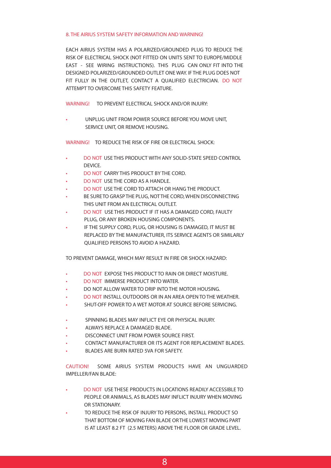## 8. THE AIRIUS SYSTEM SAFETY INFORMATION AND WARNING!

EACH AIRIUS SYSTEM HAS A POLARIZED/GROUNDED PLUG TO REDUCE THE RISK OF ELECTRICAL SHOCK (NOT FITTED ON UNITS SENT TO EUROPE/MIDDLE EAST - SEE WIRING INSTRUCTIONS). THIS PLUG CAN ONLY FIT INTO THE DESIGNED POLARIZED/GROUNDED OUTLET ONE WAY. IF THE PLUG DOES NOT FIT FULLY IN THE OUTLET, CONTACT A QUALIFIED ELECTRICIAN. DO NOT ATTEMPT TO OVERCOME THIS SAFETY FEATURE.

WARNING! TO PREVENT ELECTRICAL SHOCK AND/OR INJURY:

• UNPLUG UNIT FROM POWER SOURCE BEFORE YOU MOVE UNIT, SERVICE UNIT, OR REMOVE HOUSING.

WARNING! TO REDUCE THE RISK OF FIRE OR ELECTRICAL SHOCK:

- DO NOT USE THIS PRODUCT WITH ANY SOLID-STATE SPEED CONTROL DEVICE.
- DO NOT CARRY THIS PRODUCT BY THE CORD.
- DO NOT USE THE CORD AS A HANDLE.
- DO NOT USE THE CORD TO ATTACH OR HANG THE PRODUCT.
- BE SURE TO GRASP THE PLUG, NOT THE CORD, WHEN DISCONNECTING THIS UNIT FROM AN ELECTRICAL OUTLET.
- DO NOT USE THIS PRODUCT IF IT HAS A DAMAGED CORD, FAULTY PLUG, OR ANY BROKEN HOUSING COMPONENTS.
- IF THE SUPPLY CORD, PLUG, OR HOUSING IS DAMAGED, IT MUST BE REPLACED BY THE MANUFACTURER, ITS SERVICE AGENTS OR SIMILARLY QUALIFIED PERSONS TO AVOID A HAZARD.

TO PREVENT DAMAGE, WHICH MAY RESULT IN FIRE OR SHOCK HAZARD:

- DO NOT EXPOSE THIS PRODUCT TO RAIN OR DIRECT MOISTURE.
- DO NOT IMMERSE PRODUCT INTO WATER.
- DO NOT ALLOW WATER TO DRIP INTO THE MOTOR HOUSING.
- DO NOT INSTALL OUTDOORS OR IN AN AREA OPEN TO THE WEATHER.
- SHUT-OFF POWER TO A WET MOTOR AT SOURCE BEFORE SERVICING.
- SPINNING BLADES MAY INFLICT EYE OR PHYSICAL INJURY.
- ALWAYS REPLACE A DAMAGED BLADE.
- DISCONNECT UNIT FROM POWER SOURCE FIRST.
- CONTACT MANUFACTURER OR ITS AGENT FOR REPLACEMENT BLADES.
- BLADES ARE BURN RATED 5VA FOR SAFETY.

CAUTION! SOME AIRIUS SYSTEM PRODUCTS HAVE AN UNGUARDED IMPELLER/FAN BLADE:

- DO NOT USE THESE PRODUCTS IN LOCATIONS READILY ACCESSIBLE TO PEOPLE OR ANIMALS, AS BLADES MAY INFLICT INJURY WHEN MOVING OR STATIONARY.
- TO REDUCE THE RISK OF INJURY TO PERSONS, INSTALL PRODUCT SO THAT BOTTOM OF MOVING FAN BLADE OR THE LOWEST MOVING PART IS AT LEAST 8.2 FT (2.5 METERS) ABOVE THE FLOOR OR GRADE LEVEL.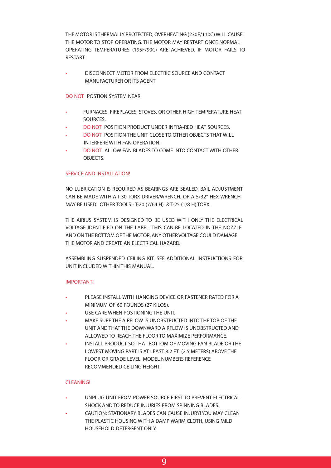THE MOTOR IS THERMALLY PROTECTED; OVERHEATING (230F/110C) WILL CAUSE THE MOTOR TO STOP OPERATING. THE MOTOR MAY RESTART ONCE NORMAL OPERATING TEMPERATURES (195F/90C) ARE ACHIEVED. IF MOTOR FAILS TO RESTART:

• DISCONNECT MOTOR FROM ELECTRIC SOURCE AND CONTACT MANUFACTURER OR ITS AGENT

## DO NOT POSTION SYSTEM NEAR:

- FURNACES, FIREPLACES, STOVES, OR OTHER HIGH TEMPERATURE HEAT SOURCES.
- DO NOT POSITION PRODUCT UNDER INFRA-RED HEAT SOURCES.
- DO NOT POSITION THE UNIT CLOSE TO OTHER OBJECTS THAT WILL INTERFERE WITH FAN OPERATION.
- DO NOT ALLOW FAN BLADES TO COME INTO CONTACT WITH OTHER OBJECTS.

## SERVICE AND INSTALLATION!

NO LUBRICATION IS REQUIRED AS BEARINGS ARE SEALED. BAIL ADJUSTMENT CAN BE MADE WITH A T-30 TORX DRIVER/WRENCH, OR A 5/32" HEX WRENCH MAY BE USED. OTHER TOOLS - T-20 (7/64 H) & T-25 (1/8 H) TORX.

THE AIRIUS SYSTEM IS DESIGNED TO BE USED WITH ONLY THE ELECTRICAL VOLTAGE IDENTIFIED ON THE LABEL. THIS CAN BE LOCATED IN THE NOZZLE AND ON THE BOTTOM OF THE MOTOR, ANY OTHER VOLTAGE COULD DAMAGE THE MOTOR AND CREATE AN ELECTRICAL HAZARD.

ASSEMBLING SUSPENDED CEILING KIT: SEE ADDITIONAL INSTRUCTIONS FOR UNIT INCLUDED WITHIN THIS MANUAL.

## IMPORTANT!

- PLEASE INSTALL WITH HANGING DEVICE OR FASTENER RATED FOR A MINIMUM OF 60 POUNDS (27 KILOS).
- USE CARE WHEN POSTIONING THE UNIT.
- MAKE SURE THE AIRFLOW IS UNOBSTRUCTED INTO THE TOP OF THE UNIT AND THAT THE DOWNWARD AIRFLOW IS UNOBSTRUCTED AND ALLOWED TO REACH THE FLOOR TO MAXIMIZE PERFORMANCE.
- INSTALL PRODUCT SO THAT BOTTOM OF MOVING FAN BLADE OR THE LOWEST MOVING PART IS AT LEAST 8.2 FT (2.5 METERS) ABOVE THE FLOOR OR GRADE LEVEL. MODEL NUMBERS REFERENCE RECOMMENDED CEILING HEIGHT.

## CLEANING!

- UNPLUG UNIT FROM POWER SOURCE FIRST TO PREVENT ELECTRICAL SHOCK AND TO REDUCE INJURIES FROM SPINNING BLADES.
- CAUTION: STATIONARY BLADES CAN CAUSE INJURY! YOU MAY CLEAN THE PLASTIC HOUSING WITH A DAMP WARM CLOTH, USING MILD HOUSEHOLD DETERGENT ONLY.